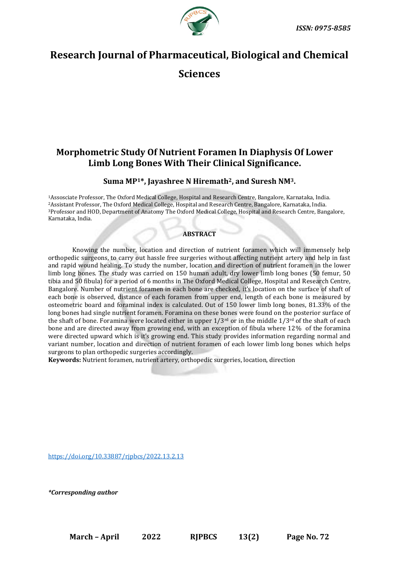



# **Research Journal of Pharmaceutical, Biological and Chemical**

**Sciences**

## **Morphometric Study Of Nutrient Foramen In Diaphysis Of Lower Limb Long Bones With Their Clinical Significance.**

## **Suma MP1\*, Jayashree N Hiremath2, and Suresh NM3.**

Assosciate Professor, The Oxford Medical College, Hospital and Research Centre, Bangalore, Karnataka, India. Assistant Professor, The Oxford Medical College, Hospital and Research Centre, Bangalore, Karnataka, India. Professor and HOD, Department of Anatomy The Oxford Medical College, Hospital and Research Centre, Bangalore, Karnataka, India.

## **ABSTRACT**

Knowing the number, location and direction of nutrient foramen which will immensely help orthopedic surgeons, to carry out hassle free surgeries without affecting nutrient artery and help in fast and rapid wound healing. To study the number, location and direction of nutrient foramen in the lower limb long bones. The study was carried on 150 human adult, dry lower limb long bones (50 femur, 50 tibia and 50 fibula) for a period of 6 months in The Oxford Medical College, Hospital and Research Centre, Bangalore. Number of nutrient foramen in each bone are checked, it's location on the surface of shaft of each bone is observed, distance of each foramen from upper end, length of each bone is measured by osteometric board and foraminal index is calculated. Out of 150 lower limb long bones, 81.33% of the long bones had single nutrient foramen. Foramina on these bones were found on the posterior surface of the shaft of bone. Foramina were located either in upper  $1/3^{rd}$  or in the middle  $1/3^{rd}$  of the shaft of each bone and are directed away from growing end, with an exception of fibula where 12% of the foramina were directed upward which is it's growing end. This study provides information regarding normal and variant number, location and direction of nutrient foramen of each lower limb long bones which helps surgeons to plan orthopedic surgeries accordingly.

**Keywords:** Nutrient foramen, nutrient artery, orthopedic surgeries, location, direction

[https://doi.org/10.33887/rjpbcs/2022.13.2.13](https://doi.org/10.33887/rjpbcs/2022.13.1.1)

*\*Corresponding author*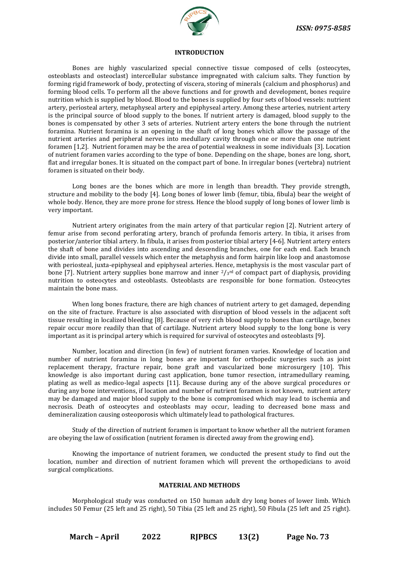

#### **INTRODUCTION**

Bones are highly vascularized special connective tissue composed of cells (osteocytes, osteoblasts and osteoclast) intercellular substance impregnated with calcium salts. They function by forming rigid framework of body, protecting of viscera, storing of minerals (calcium and phosphorus) and forming blood cells. To perform all the above functions and for growth and development, bones require nutrition which is supplied by blood. Blood to the bones is supplied by four sets of blood vessels: nutrient artery, periosteal artery, metaphyseal artery and epiphyseal artery. Among these arteries, nutrient artery is the principal source of blood supply to the bones. If nutrient artery is damaged, blood supply to the bones is compensated by other 3 sets of arteries. Nutrient artery enters the bone through the nutrient foramina. Nutrient foramina is an opening in the shaft of long bones which allow the passage of the nutrient arteries and peripheral nerves into medullary cavity through one or more than one nutrient foramen [1,2]. Nutrient foramen may be the area of potential weakness in some individuals [3]. Location of nutrient foramen varies according to the type of bone. Depending on the shape, bones are long, short, flat and irregular bones. It is situated on the compact part of bone. In irregular bones (vertebra) nutrient foramen is situated on their body.

Long bones are the bones which are more in length than breadth. They provide strength, structure and mobility to the body [4]. Long bones of lower limb (femur, tibia, fibula) bear the weight of whole body. Hence, they are more prone for stress. Hence the blood supply of long bones of lower limb is very important.

Nutrient artery originates from the main artery of that particular region [2]. Nutrient artery of femur arise from second perforating artery, branch of profunda femoris artery. In tibia, it arises from posterior/anterior tibial artery. In fibula, it arises from posterior tibial artery [4-6]. Nutrient artery enters the shaft of bone and divides into ascending and descending branches, one for each end. Each branch divide into small, parallel vessels which enter the metaphysis and form hairpin like loop and anastomose with periosteal, juxta-epiphyseal and epiphyseal arteries. Hence, metaphysis is the most vascular part of bone [7]. Nutrient artery supplies bone marrow and inner  $2/s<sup>rd</sup>$  of compact part of diaphysis, providing nutrition to osteocytes and osteoblasts. Osteoblasts are responsible for bone formation. Osteocytes maintain the bone mass.

When long bones fracture, there are high chances of nutrient artery to get damaged, depending on the site of fracture. Fracture is also associated with disruption of blood vessels in the adjacent soft tissue resulting in localized bleeding [8]. Because of very rich blood supply to bones than cartilage, bones repair occur more readily than that of cartilage. Nutrient artery blood supply to the long bone is very important as it is principal artery which is required for survival of osteocytes and osteoblasts [9].

Number, location and direction (in few) of nutrient foramen varies. Knowledge of location and number of nutrient foramina in long bones are important for orthopedic surgeries such as joint replacement therapy, fracture repair, bone graft and vascularized bone microsurgery [10]. This knowledge is also important during cast application, bone tumor resection, intramedullary reaming, plating as well as medico-legal aspects [11]. Because during any of the above surgical procedures or during any bone interventions, if location and number of nutrient foramen is not known, nutrient artery may be damaged and major blood supply to the bone is compromised which may lead to ischemia and necrosis. Death of osteocytes and osteoblasts may occur, leading to decreased bone mass and demineralization causing osteoporosis which ultimately lead to pathological fractures.

Study of the direction of nutrient foramen is important to know whether all the nutrient foramen are obeying the law of ossification (nutrient foramen is directed away from the growing end).

Knowing the importance of nutrient foramen, we conducted the present study to find out the location, number and direction of nutrient foramen which will prevent the orthopedicians to avoid surgical complications.

#### **MATERIAL AND METHODS**

Morphological study was conducted on 150 human adult dry long bones of lower limb. Which includes 50 Femur (25 left and 25 right), 50 Tibia (25 left and 25 right), 50 Fibula (25 left and 25 right).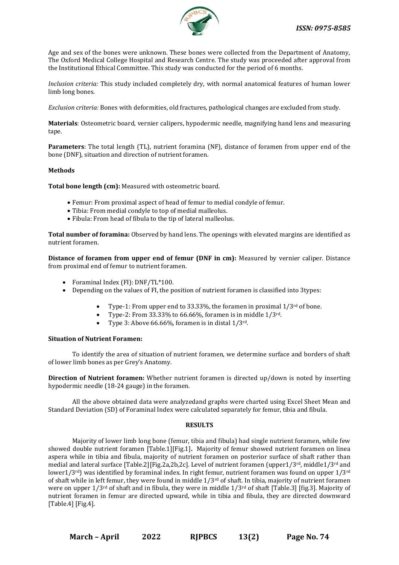

Age and sex of the bones were unknown. These bones were collected from the Department of Anatomy, The Oxford Medical College Hospital and Research Centre. The study was proceeded after approval from the Institutional Ethical Committee. This study was conducted for the period of 6 months.

*Inclusion criteria:* This study included completely dry, with normal anatomical features of human lower limb long bones.

*Exclusion criteria:* Bones with deformities, old fractures, pathological changes are excluded from study.

**Materials**: Osteometric board, vernier calipers, hypodermic needle, magnifying hand lens and measuring tape.

**Parameters**: The total length (TL), nutrient foramina (NF), distance of foramen from upper end of the bone (DNF), situation and direction of nutrient foramen.

#### **Methods**

**Total bone length (cm):** Measured with osteometric board.

- Femur: From proximal aspect of head of femur to medial condyle of femur.
- Tibia: From medial condyle to top of medial malleolus.
- Fibula: From head of fibula to the tip of lateral malleolus.

**Total number of foramina:** Observed by hand lens. The openings with elevated margins are identified as nutrient foramen.

**Distance of foramen from upper end of femur (DNF in cm):** Measured by vernier caliper. Distance from proximal end of femur to nutrient foramen.

- Foraminal Index (FI): DNF/TL\*100.
- Depending on the values of FI, the position of nutrient foramen is classified into 3types:
	- Type-1: From upper end to 33.33%, the foramen in proximal  $1/3^{rd}$  of bone.
	- Type-2: From  $33.33\%$  to  $66.66\%$ , foramen is in middle  $1/3^{rd}$ .
	- Type 3: Above 66.66%, foramen is in distal  $1/3^{rd}$ .

#### **Situation of Nutrient Foramen:**

To identify the area of situation of nutrient foramen, we determine surface and borders of shaft of lower limb bones as per Grey's Anatomy.

**Direction of Nutrient foramen:** Whether nutrient foramen is directed up/down is noted by inserting hypodermic needle (18-24 gauge) in the foramen.

All the above obtained data were analyzedand graphs were charted using Excel Sheet Mean and Standard Deviation (SD) of Foraminal Index were calculated separately for femur, tibia and fibula.

#### **RESULTS**

Majority of lower limb long bone (femur, tibia and fibula) had single nutrient foramen, while few showed double nutrient foramen [Table.1][Fig.1]**.** Majority of femur showed nutrient foramen on linea aspera while in tibia and fibula, majority of nutrient foramen on posterior surface of shaft rather than medial and lateral surface [Table.2][Fig.2a,2b,2c]. Level of nutrient foramen (upper1/3rd, middle1/3rd and lower1/3rd) was identified by foraminal index. In right femur, nutrient foramen was found on upper 1/3rd of shaft while in left femur, they were found in middle 1/3rd of shaft. In tibia, majority of nutrient foramen were on upper 1/3rd of shaft and in fibula, they were in middle 1/3rd of shaft [Table.3] [fig.3]. Majority of nutrient foramen in femur are directed upward, while in tibia and fibula, they are directed downward [Table.4] [Fig.4].

**March – April 2022 RJPBCS 13(2) Page No. 74**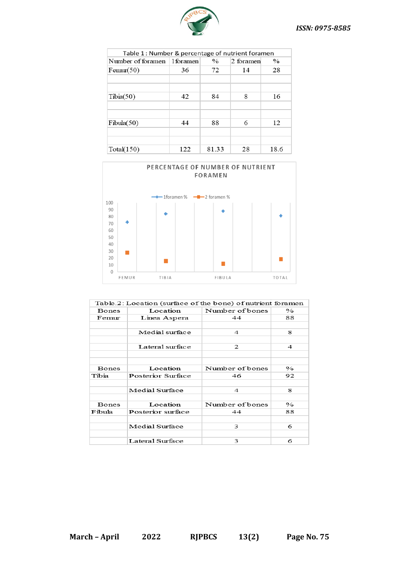

| Table 1: Number & percentage of nutrient foramen |     |       |           |      |  |  |
|--------------------------------------------------|-----|-------|-----------|------|--|--|
| Number of foramen 1 foramen                      |     | $\%$  | 2 foramen | $\%$ |  |  |
| Femur(50)                                        | 36  | 72    | 14        | 28   |  |  |
|                                                  |     |       |           |      |  |  |
|                                                  |     |       |           |      |  |  |
| Tibia(50)                                        | 42  | 84    | 8         | 16   |  |  |
|                                                  |     |       |           |      |  |  |
|                                                  |     |       |           |      |  |  |
| Fibula(50)                                       | 44  | 88    | 6         | 12   |  |  |
|                                                  |     |       |           |      |  |  |
|                                                  |     |       |           |      |  |  |
| Total(150)                                       | 122 | 81.33 | 28        | 18.6 |  |  |



|              | Table.2: Location (surface of the bone) of nutrient foramen |                 |                        |
|--------------|-------------------------------------------------------------|-----------------|------------------------|
| <b>Bones</b> | Location                                                    | Number of bones | $\mathcal{O}_{\Omega}$ |
| Femur        | Linea Aspera                                                | 44              | 88                     |
|              |                                                             |                 |                        |
|              | Medial surface                                              | 4               | 8                      |
|              |                                                             |                 |                        |
|              | Lateral surface                                             | 2               | 4                      |
|              |                                                             |                 |                        |
|              |                                                             |                 |                        |
| <b>Bones</b> | Location                                                    | Number of bones | $\%$                   |
| Tibia        | Posterior Surface                                           | 46              | 92                     |
|              |                                                             |                 |                        |
|              | Medial Surface                                              | 4               | 8                      |
|              |                                                             |                 |                        |
| <b>Bones</b> | Location                                                    | Number of bones | $\%$                   |
| Fibula       | Posterior surface                                           | 44              | 88                     |
|              |                                                             |                 |                        |
|              | Medial Surface                                              | 3               | 6                      |
|              |                                                             |                 |                        |
|              | Lateral Surface                                             | 3               | 6                      |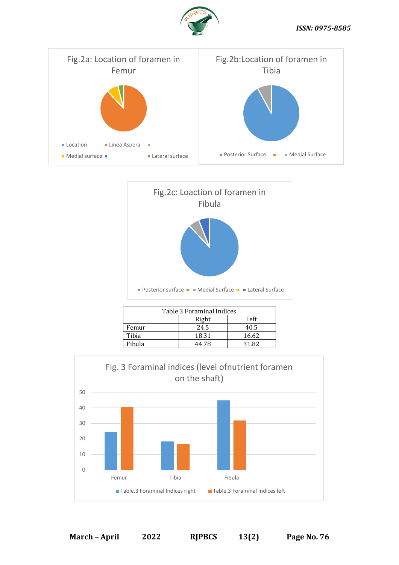





| Table.3 Foraminal Indices |       |       |  |  |
|---------------------------|-------|-------|--|--|
|                           | Right | Left  |  |  |
| Femur                     | 24.5  | 40.5  |  |  |
| Tibia                     | 18.31 | 16.62 |  |  |
| Fibula                    | 44.78 | 31.82 |  |  |
|                           |       |       |  |  |

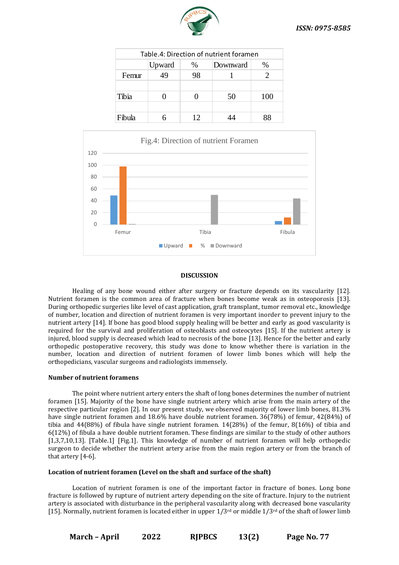

| Table.4: Direction of nutrient foramen |        |      |          |      |  |  |
|----------------------------------------|--------|------|----------|------|--|--|
|                                        | Upward | $\%$ | Downward | $\%$ |  |  |
| Femur                                  | 49     | 98   |          |      |  |  |
|                                        |        |      |          |      |  |  |
| Tibia                                  |        |      | 50       | 100  |  |  |
|                                        |        |      |          |      |  |  |
| Fibula                                 |        | 12   |          |      |  |  |



### **DISCUSSION**

Healing of any bone wound either after surgery or fracture depends on its vascularity [12]. Nutrient foramen is the common area of fracture when bones become weak as in osteoporosis [13]. During orthopedic surgeries like level of cast application, graft transplant, tumor removal etc., knowledge of number, location and direction of nutrient foramen is very important inorder to prevent injury to the nutrient artery [14]. If bone has good blood supply healing will be better and early as good vascularity is required for the survival and proliferation of osteoblasts and osteocytes [15]. If the nutrient artery is injured, blood supply is decreased which lead to necrosis of the bone [13]. Hence for the better and early orthopedic postoperative recovery, this study was done to know whether there is variation in the number, location and direction of nutrient foramen of lower limb bones which will help the orthopedicians, vascular surgeons and radiologists immensely.

#### **Number of nutrient foramens**

The point where nutrient artery enters the shaft of long bones determines the number of nutrient foramen [15]. Majority of the bone have single nutrient artery which arise from the main artery of the respective particular region [2]. In our present study, we observed majority of lower limb bones, 81.3% have single nutrient foramen and 18.6% have double nutrient foramen. 36(78%) of femur, 42(84%) of tibia and 44(88%) of fibula have single nutrient foramen. 14(28%) of the femur, 8(16%) of tibia and 6(12%) of fibula a have double nutrient foramen. These findings are similar to the study of other authors [1,3,7,10,13]. [Table.1] [Fig.1]. This knowledge of number of nutrient foramen will help orthopedic surgeon to decide whether the nutrient artery arise from the main region artery or from the branch of that artery [4-6].

#### **Location of nutrient foramen (Level on the shaft and surface of the shaft)**

Location of nutrient foramen is one of the important factor in fracture of bones. Long bone fracture is followed by rupture of nutrient artery depending on the site of fracture. Injury to the nutrient artery is associated with disturbance in the peripheral vascularity along with decreased bone vascularity [15]. Normally, nutrient foramen is located either in upper  $1/3^{rd}$  or middle  $1/3^{rd}$  of the shaft of lower limb

**March – April 2022 RJPBCS 13(2) Page No. 77**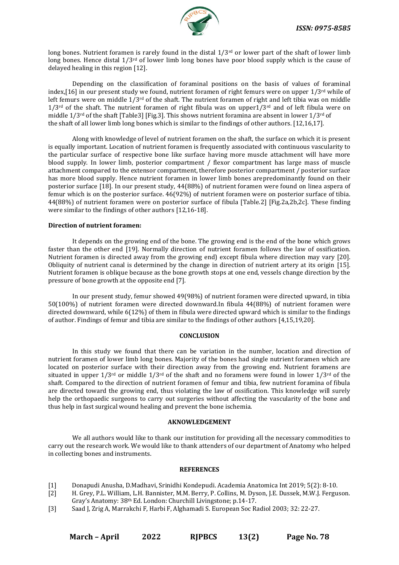

long bones. Nutrient foramen is rarely found in the distal  $1/3<sup>rd</sup>$  or lower part of the shaft of lower limb long bones. Hence distal  $1/3^{rd}$  of lower limb long bones have poor blood supply which is the cause of delayed healing in this region [12].

Depending on the classification of foraminal positions on the basis of values of foraminal index,[16] in our present study we found, nutrient foramen of right femurs were on upper 1/3<sup>rd</sup> while of left femurs were on middle  $1/3^{rd}$  of the shaft. The nutrient foramen of right and left tibia was on middle  $1/3$ <sup>rd</sup> of the shaft. The nutrient foramen of right fibula was on upper $1/3$ <sup>rd</sup> and of left fibula were on middle 1/3rd of the shaft [Table3] [Fig.3]. This shows nutrient foramina are absent in lower 1/3rd of the shaft of all lower limb long bones which is similar to the findings of other authors. [12,16,17].

Along with knowledge of level of nutrient foramen on the shaft, the surface on which it is present is equally important. Location of nutrient foramen is frequently associated with continuous vascularity to the particular surface of respective bone like surface having more muscle attachment will have more blood supply. In lower limb, posterior compartment / flexor compartment has large mass of muscle attachment compared to the extensor compartment, therefore posterior compartment / posterior surface has more blood supply. Hence nutrient foramen in lower limb bones arepredominantly found on their posterior surface [18]. In our present study, 44(88%) of nutrient foramen were found on linea aspera of femur which is on the posterior surface. 46(92%) of nutrient foramen were on posterior surface of tibia. 44(88%) of nutrient foramen were on posterior surface of fibula [Table.2] [Fig.2a,2b,2c]. These finding were similar to the findings of other authors [12,16-18].

#### **Direction of nutrient foramen:**

It depends on the growing end of the bone. The growing end is the end of the bone which grows faster than the other end [19]. Normally direction of nutrient foramen follows the law of ossification. Nutrient foramen is directed away from the growing end) except fibula where direction may vary [20]. Obliquity of nutrient canal is determined by the change in direction of nutrient artery at its origin [15]. Nutrient foramen is oblique because as the bone growth stops at one end, vessels change direction by the pressure of bone growth at the opposite end [7].

In our present study, femur showed 49(98%) of nutrient foramen were directed upward, in tibia 50(100%) of nutrient foramen were directed downward.In fibula 44(88%) of nutrient foramen were directed downward, while 6(12%) of them in fibula were directed upward which is similar to the findings of author. Findings of femur and tibia are similar to the findings of other authors [4,15,19,20].

#### **CONCLUSION**

In this study we found that there can be variation in the number, location and direction of nutrient foramen of lower limb long bones. Majority of the bones had single nutrient foramen which are located on posterior surface with their direction away from the growing end. Nutrient foramens are situated in upper  $1/3^{rd}$  or middle  $1/3^{rd}$  of the shaft and no foramens were found in lower  $1/3^{rd}$  of the shaft. Compared to the direction of nutrient foramen of femur and tibia, few nutrient foramina of fibula are directed toward the growing end, thus violating the law of ossification. This knowledge will surely help the orthopaedic surgeons to carry out surgeries without affecting the vascularity of the bone and thus help in fast surgical wound healing and prevent the bone ischemia.

#### **AKNOWLEDGEMENT**

We all authors would like to thank our institution for providing all the necessary commodities to carry out the research work. We would like to thank attenders of our department of Anatomy who helped in collecting bones and instruments.

#### **REFERENCES**

- [1] Donapudi Anusha, D.Madhavi, Srinidhi Kondepudi. Academia Anatomica Int 2019; 5(2): 8-10.
- [2] H. Grey, P.L. William, L.H. Bannister, M.M. Berry, P. Collins, M. Dyson, J.E. Dussek, M.W.J. Ferguson. Gray's Anatomy: 38th Ed. London: Churchill Livingstone; p.14-17.
- [3] Saad J, Zrig A, Marrakchi F, Harbi F, Alghamadi S. European Soc Radiol 2003; 32: 22-27.